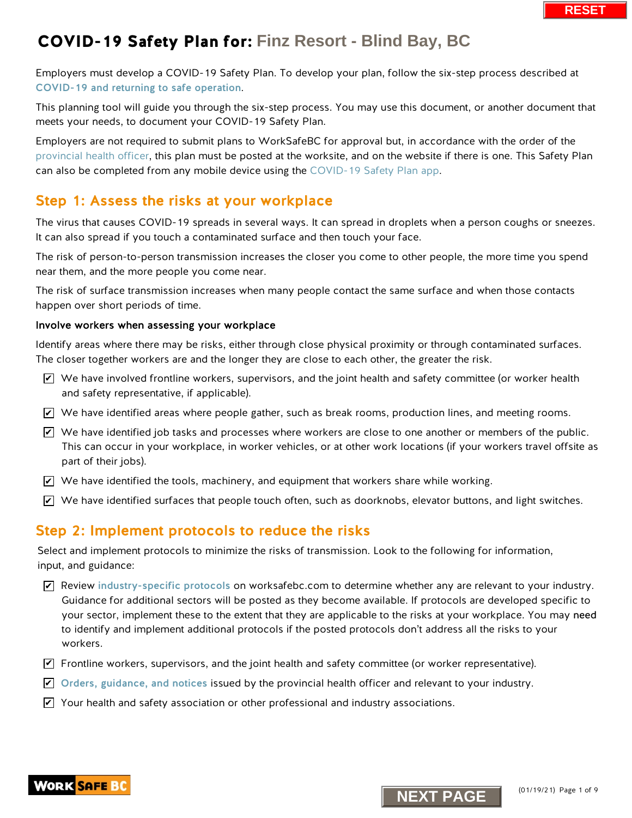Employers must develop a COVID-19 Safety Plan. To develop your plan, follow the six-step process described at [COVID-19 and returning to safe operation](https://www.worksafebc.com/en/about-us/covid-19-updates/covid-19-returning-safe-operation).

This planning tool will guide you through the six-step process. You may use this document, or another document that meets your needs, to document your COVID-19 Safety Plan.

Employers are not required to submit plans to WorkSafeBC for approval but, in accordance with the order of the [provincial health officer,](https://www2.gov.bc.ca/gov/content/health/about-bc-s-health-care-system/office-of-the-provincial-health-officer/current-health-topics/covid-19-novel-coronavirus) this plan must be posted at the worksite, and on the website if there is one. This Safety Plan can also be completed [from any mobile device using](https://www.worksafebc.com/en/resources/health-safety/interactive-tools/covid-19-safety-plan-app?lang=en&origin=s&returnurl=https%3A%2F%2Fwww.worksafebc.com%2Fen%2Fforms-resources%23sort%3D%2540fcomputeditemdatefield343%2520descending%26f%3Alanguage-facet%3D%5BEnglish%5D%26tags%3DCovid-19%7Ca96b6c96607345c481bb8621425ea03f) the COVID-19 Safety Plan app.

### Step 1: Assess the risks at your workplace

The virus that causes COVID-19 spreads in several ways. It can spread in droplets when a person coughs or sneezes. It can also spread if you touch a contaminated surface and then touch your face.

The risk of person-to-person transmission increases the closer you come to other people, the more time you spend near them, and the more people you come near.

The risk of surface transmission increases when many people contact the same surface and when those contacts happen over short periods of time.

#### Involve workers when assessing your workplace

Identify areas where there may be risks, either through close physical proximity or through contaminated surfaces. The closer together workers are and the longer they are close to each other, the greater the risk.

- $\triangledown$  We have involved frontline workers, supervisors, and the joint health and safety committee (or worker health and safety representative, if applicable).
- $\blacktriangleright$  We have identified areas where people gather, such as break rooms, production lines, and meeting rooms.
- $\blacktriangleright$  We have identified job tasks and processes where workers are close to one another or members of the public. This can occur in your workplace, in worker vehicles, or at other work locations (if your workers travel offsite as part of their jobs).
- $\blacktriangleright$  We have identified the tools, machinery, and equipment that workers share while working.
- $\blacktriangleright$  We have identified surfaces that people touch often, such as doorknobs, elevator buttons, and light switches.

### Step 2: Implement protocols to reduce the risks

Select and implement protocols to minimize the risks of transmission. Look to the following for information, input, and guidance:

- $\blacktriangleright$  Review [industry-specific protocols](https://www.worksafebc.com/en/about-us/covid-19-updates/covid-19-returning-safe-operation) on worksafebc.com to determine whether any are relevant to your industry. Guidance for additional sectors will be posted as they become available. If protocols are developed specific to your sector, implement these to the extent that they are applicable to the risks at your workplace. You may need to identify and implement additional protocols if the posted protocols don't address all the risks to your workers. **N** whave involved frontine workers, supervisors, and the joint health and safety committed Not and safety energy representative, if applicable).<br>
Not also start proportion and the proportion interaction of the mass beak
- $\blacktriangledown$  Frontline workers, supervisors, and the joint health and safety committee (or worker representative).
- $\blacktriangleright$  [Orders, guidance, and notices](https://www2.gov.bc.ca/gov/content/health/about-bc-s-health-care-system/office-of-the-provincial-health-officer/current-health-topics/covid-19-novel-coronavirus) issued by the provincial health officer and relevant to your industry.
- $\blacktriangleright$  Your health and safety association or other professional and industry associations.



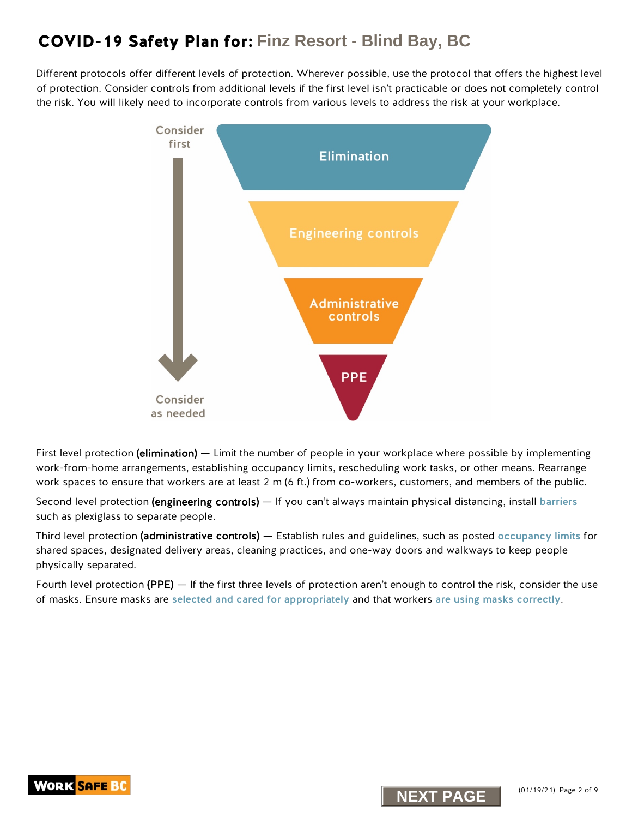Different protocols offer different levels of protection. Wherever possible, use the protocol that offers the highest level of protection. Consider controls from additional levels if the first level isn't practicable or does not completely control the risk. You will likely need to incorporate controls from various levels to address the risk at your workplace.



First level protection (elimination) — Limit the number of people in your workplace where possible by implementing work-from-home arrangements, establishing occupancy limits, rescheduling work tasks, or other means. Rearrange work spaces to ensure that workers are at least 2 m (6 ft.) from co-workers, customers, and members of the public.

Second level protection (engineering controls) — If you can't always maintain physical distancing, install [barriers](https://www.worksafebc.com/en/resources/health-safety/information-sheets/covid-19-health-safety-designing-effective-barriers?lang=en) such as plexiglass to separate people.

Third level protection (administrative controls) — Establish rules and guidelines, such as posted [occupancy limits](https://www.worksafebc.com/en/resources/health-safety/posters/help-prevent-spread-covid-19-occupancy-limit?lang=en) for shared spaces, designated delivery areas, cleaning practices, and one-way doors and walkways to keep people physically separated.

Fourth level protection (PPE) — If the first three levels of protection aren't enough to control the risk, consider the use of masks. Ensure masks are [selected and cared for appropriately](https://www.worksafebc.com/en/resources/health-safety/information-sheets/covid-19-health-safety-selecting-using-masks?lang=en) and that workers [are using masks correctly](https://www.worksafebc.com/en/resources/health-safety/posters/help-prevent-spread-covid-19-how-to-use-mask?lang=en).



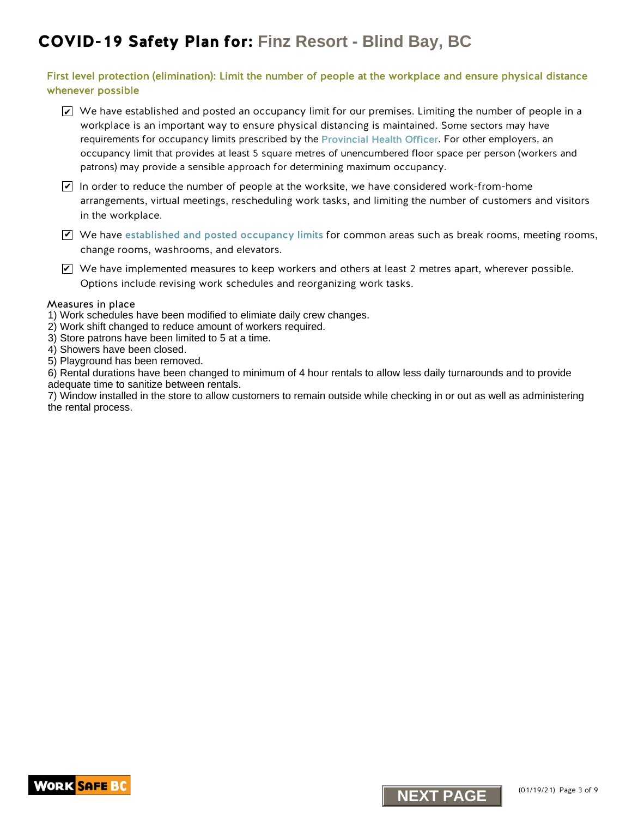### First level protection (elimination): Limit the number of people at the workplace and ensure physical distance whenever possible

- $\blacktriangleright$  We have established and posted an occupancy limit for our premises. Limiting the number of people in a workplace is an important way to ensure physical distancing is maintained. Some sectors may have requirements for occupancy limits prescribed by the [Provincial Health Officer.](https://www2.gov.bc.ca/gov/content/health/about-bc-s-health-care-system/office-of-the-provincial-health-officer/current-health-topics/covid-19-novel-coronavirus) For other employers, an occupancy limit that provides at least 5 square metres of unencumbered floor space per person (workers and patrons) may provide a sensible approach for determining maximum occupancy.
- $\blacktriangleright$  In order to reduce the number of people at the worksite, we have considered work-from-home arrangements, virtual meetings, rescheduling work tasks, and limiting the number of customers and visitors in the workplace.
- $\blacktriangledown$  We have [established and posted occupancy limits](http://www.worksafebc.com/en/resources/health-safety/posters/help-prevent-spread-covid-19-occupancy-limit?lang=en) for common areas such as break rooms, meeting rooms, change rooms, washrooms, and elevators.
- $\triangledown$  We have implemented measures to keep workers and others at least 2 metres apart, wherever possible. Options include revising work schedules and reorganizing work tasks. **Not have implemented measures to keep workers and others at least 2 metres apart,**<br>Options include revising work schedules and recreanising work tasks.<br>**axures** in place<br>**axures** in place<br>**Altreduces and to reduce amount**

#### Measures in place

- 1) Work schedules have been modified to elimiate daily crew changes.
- 2) Work shift changed to reduce amount of workers required.
- 3) Store patrons have been limited to 5 at a time.
- 4) Showers have been closed.
- 5) Playground has been removed.

6) Rental durations have been changed to minimum of 4 hour rentals to allow less daily turnarounds and to provide adequate time to sanitize between rentals.

7) Window installed in the store to allow customers to remain outside while checking in or out as well as administering the rental process.



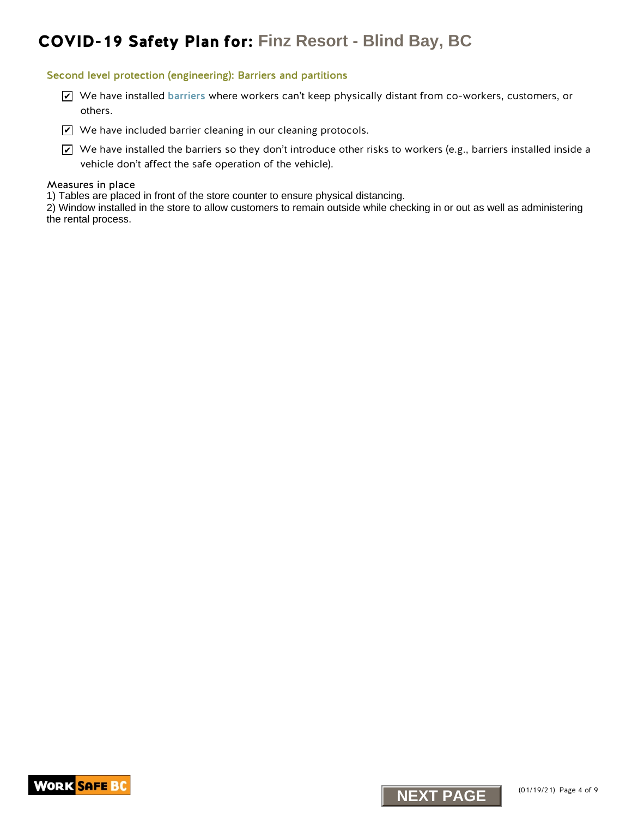#### Second level protection (engineering): Barriers and partitions

- We have installed [barriers](https://www.worksafebc.com/en/resources/health-safety/information-sheets/covid-19-health-safety-designing-effective-barriers?lang=en) where workers can't keep physically distant from co-workers, customers, or others.
- $\blacktriangleright$  We have included barrier cleaning in our cleaning protocols.
- $\blacktriangleright$  We have installed the barriers so they don't introduce other risks to workers (e.g., barriers installed inside a vehicle don't affect the safe operation of the vehicle). X <sup>Ne</sup> have installed barriers where workers can't keep physically distant from co-work<br>
200 veh have included tharmer cleaning in our cleaning protocols.<br>
200 veh have included tharmers can be quided that introduce other

#### Measures in place

1) Tables are placed in front of the store counter to ensure physical distancing.

2) Window installed in the store to allow customers to remain outside while checking in or out as well as administering the rental process.

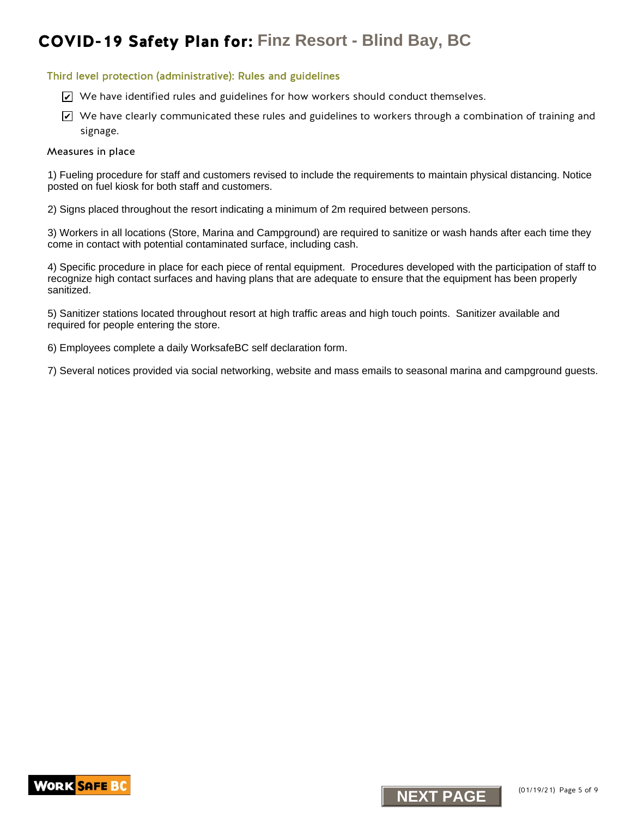#### Third level protection (administrative): Rules and guidelines

- $\trianglerighteq$  We have identified rules and guidelines for how workers should conduct themselves.
- $\blacktriangleright$  We have clearly communicated these rules and guidelines to workers through a combination of training and signage.

#### Measures in place

1) Fueling procedure for staff and customers revised to include the requirements to maintain physical distancing. Notice posted on fuel kiosk for both staff and customers.

2) Signs placed throughout the resort indicating a minimum of 2m required between persons.

3) Workers in all locations (Store, Marina and Campground) are required to sanitize or wash hands after each time they come in contact with potential contaminated surface, including cash.

K. We have identified rules and guidelines for how workers should conduct themselves.<br>The have clearly communicated these rules and gluidelines to vorkers through a communicated the sequence in place<br>signage.<br>Using procedu 4) Specific procedure in place for each piece of rental equipment. Procedures developed with the participation of staff to recognize high contact surfaces and having plans that are adequate to ensure that the equipment has been properly sanitized.

5) Sanitizer stations located throughout resort at high traffic areas and high touch points. Sanitizer available and required for people entering the store.

6) Employees complete a daily WorksafeBC self declaration form.

7) Several notices provided via social networking, website and mass emails to seasonal marina and campground guests.



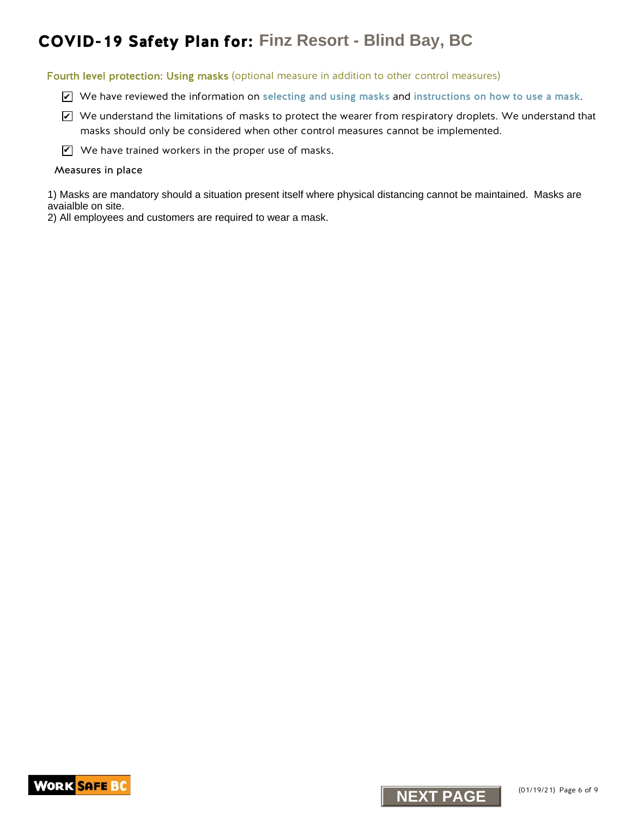Fourth level protection: Using masks (optional measure in addition to other control measures)

- $\triangledown$  We have reviewed the information on [selecting and using masks](https://www.worksafebc.com/en/resources/health-safety/information-sheets/covid-19-health-safety-selecting-using-masks?lang=en) and [instructions on how to use a mask](https://www.worksafebc.com/en/resources/health-safety/posters/help-prevent-spread-covid-19-how-to-use-mask?lang=en).
- $\blacktriangleright$  We understand the limitations of masks to protect the wearer from respiratory droplets. We understand that masks should only be considered when other control measures cannot be implemented. **NID-19 Safety Plan for:** Finz Resort - Blind Bay, BC<br>
Inthiseal protection: Using masks (optional measure in addition to other control measure<br>  $\mathbb{Z}^{\times}$  We knotestrated the information on selecting and using masks co
- $\mathbf{V}$  We have trained workers in the proper use of masks.

#### Measures in place

1) Masks are mandatory should a situation present itself where physical distancing cannot be maintained. Masks are avaialble on site.

2) All employees and customers are required to wear a mask.

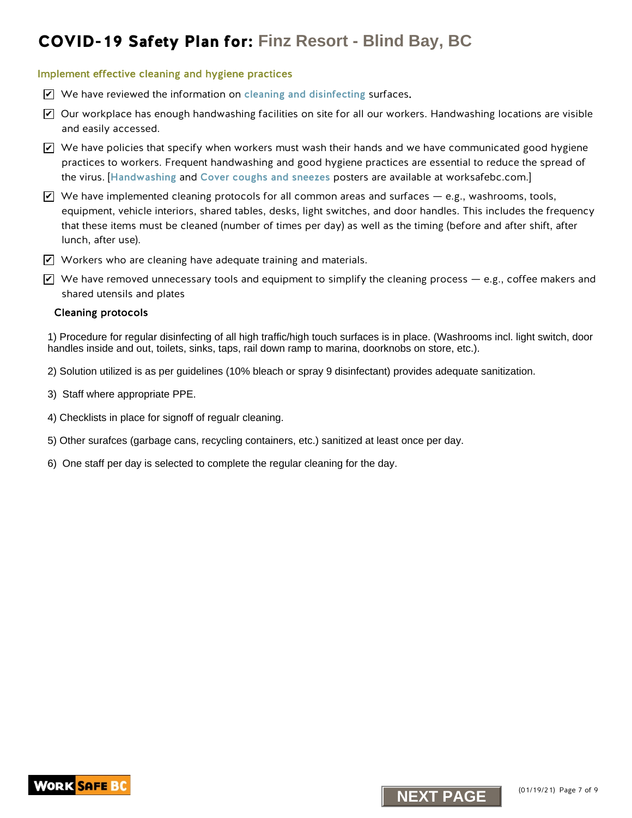#### Implement effective cleaning and hygiene practices

- We have reviewed the information on [cleaning and disinfecting](https://www.worksafebc.com/en/resources/health-safety/information-sheets/covid-19-health-safety-cleaning-disinfecting?lang=en) surfaces.
- $\blacktriangleright$  Our workplace has enough handwashing facilities on site for all our workers. Handwashing locations are visible and easily accessed.
- $\blacktriangleright$  We have policies that specify when workers must wash their hands and we have communicated good hygiene practices to workers. Frequent handwashing and good hygiene practices are essential to reduce the spread of the virus. [[Handwashing](https://www.worksafebc.com/en/resources/health-safety/posters/help-prevent-spread-covid-19-handwashing?lang=en) and [Cover coughs and sneezes](https://www.worksafebc.com/en/resources/health-safety/posters/help-prevent-spread-covid-19-cover-coughs-sneezes?lang=en) posters are available at worksafebc.com.]
- $\blacktriangleright$  We have implemented cleaning protocols for all common areas and surfaces e.g., washrooms, tools, equipment, vehicle interiors, shared tables, desks, light switches, and door handles. This includes the frequency that these items must be cleaned (number of times per day) as well as the timing (before and after shift, after lunch, after use). **NEXT PLANE THAT RESOT!** - Blind Bay, BC<br> **NEW THE CONSULTER STATE AND ASSEMBLATE CONSULTER STATE AND NOTE AND NOTE AND NOTE AND NOTE AND NOTE AND NOTE AND NOTE AND NOTE AND NOTE AND NOTE AND NOTE AND NOTE AND NOTE AND NOT**
- $\blacktriangledown$  Workers who are cleaning have adequate training and materials.
- $\blacktriangledown$  We have removed unnecessary tools and equipment to simplify the cleaning process e.g., coffee makers and shared utensils and plates

#### Cleaning protocols

1) Procedure for regular disinfecting of all high traffic/high touch surfaces is in place. (Washrooms incl. light switch, door handles inside and out, toilets, sinks, taps, rail down ramp to marina, doorknobs on store, etc.).

- 2) Solution utilized is as per guidelines (10% bleach or spray 9 disinfectant) provides adequate sanitization.
- 3) Staff where appropriate PPE.
- 4) Checklists in place for signoff of regualr cleaning.
- 5) Other surafces (garbage cans, recycling containers, etc.) sanitized at least once per day.
- 6) One staff per day is selected to complete the regular cleaning for the day.



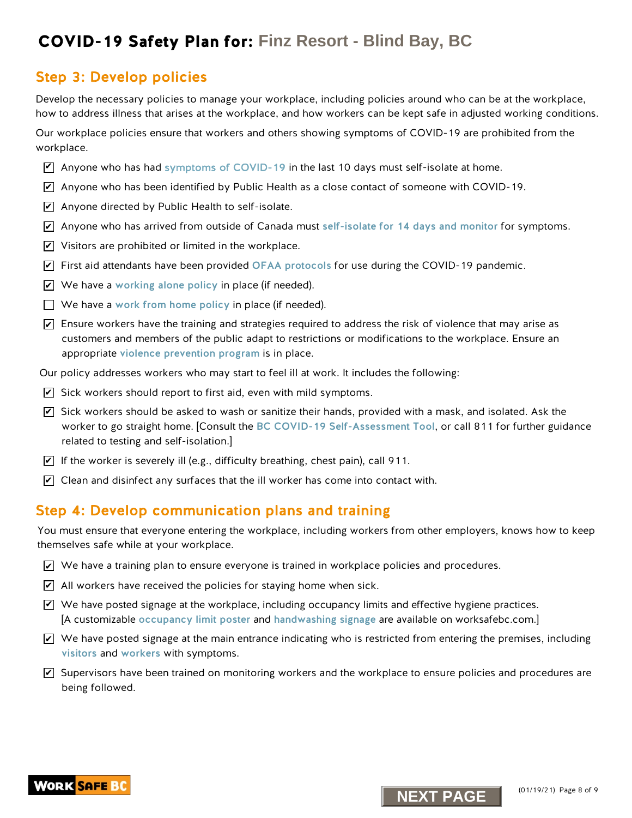### Step 3: Develop policies

Develop the necessary policies to manage your workplace, including policies around who can be at the workplace, how to address illness that arises at the workplace, and how workers can be kept safe in adjusted working conditions.

Our workplace policies ensure that workers and others showing symptoms of COVID-19 are prohibited from the workplace.

- $\triangledown$  Anyone who has ha[d symptoms of COVID-19](https://www.worksafebc.com/en/resources/health-safety/posters/help-prevent-spread-covid-19-entry-check-visitors?lang=en) in the last 10 days must self-isolate at home.
- $\overline{\mathscr{L}}$  Anyone who has been identified by Public Health as a close contact of someone with COVID-19.
- $\blacktriangleright$  Anyone directed by Public Health to self-isolate.
- $\overline{\mathscr{L}}$  Anyone who has arrived from outside of Canada must [self-isolate for 14 days and monitor](http://www.bccdc.ca/health-info/diseases-conditions/covid-19/self-isolation) for symptoms.
- $\blacktriangleright$  Visitors are prohibited or limited in the workplace.
- $\blacktriangleright$  First aid attendants have been provided [OFAA protocols](https://www.worksafebc.com/en/resources/health-safety/information-sheets/ofaa-protocols-covid-19-pandemic?lang=en) for use during the COVID-19 pandemic.
- $\blacktriangleright$  We have a [working alone policy](https://www.worksafebc.com/en/health-safety/hazards-exposures/working-alone) in place (if needed).
- $\Box$  We have a work from home policy in place (if needed).
- $\blacktriangleright$  Ensure workers have the training and strategies required to address the risk of violence that may arise as customers and members of the public adapt to restrictions or modifications to the workplace. Ensure an appropriate [violence prevention progra](https://www.worksafebc.com/en/health-safety/hazards-exposures/violence)m is in place.
- Our policy addresses workers who may start to feel ill at work. It includes the following:
- $\blacktriangleright$  Sick workers should report to first aid, even with mild symptoms.
- $\overline{\mathscr{L}}$  Sick workers should be asked to wash or sanitize their hands, provided with a mask, and isolated. Ask the worker to go straight home. [Consult the [BC COVID-19 Self-Assessment Tool](https://bc.thrive.health/), or call 811 for further guidance related to testing and self-isolation.] **NEXT PLANE SECTION PROPERTIES**<br> **NEXT PAGE THE CONDUCT CONDUCTS CONDUCTS**<br> **NEXT PAGE THE CONDUCTS CONDUCTS**<br> **NEXT PAGE THE CONDUCTS**<br> **NEXT PAGE TOWER TO PROPERTIES TO PROPERTIZE TO PROPERTIZE TO THE CONDUCTS OF THE CON**
- $\blacktriangleright$  If the worker is severely ill (e.g., difficulty breathing, chest pain), call 911.
- $\blacktriangleright$  Clean and disinfect any surfaces that the ill worker has come into contact with.

### Step 4: Develop communication plans and training

You must ensure that everyone entering the workplace, including workers from other employers, knows how to keep themselves safe while at your workplace.

- $\blacktriangleright$  We have a training plan to ensure everyone is trained in workplace policies and procedures.
- $\angle$  All workers have received the policies for staying home when sick.
- $\blacktriangledown$  We have posted signage at the workplace, including occupancy limits and effective hygiene practices. [A customizable [occupancy limit poster](https://www.worksafebc.com/en/resources/health-safety/posters/help-prevent-spread-covid-19-occupancy-limit?lang=en) and [handwashing signage](https://www.worksafebc.com/en/resources/health-safety/posters/help-prevent-spread-covid-19-handwashing?lang=en) are available on worksafebc.com.]
- $\blacktriangleright$  We have posted signage at the main entrance indicating who is restricted from entering the premises, including [visitors](https://www.worksafebc.com/en/resources/health-safety/posters/help-prevent-spread-covid-19-entry-check-visitors?lang=en) and [workers](https://www.worksafebc.com/en/resources/health-safety/posters/help-prevent-spread-covid-19-entry-check-workers?lang=en) with symptoms.
- $\blacktriangledown$  Supervisors have been trained on monitoring workers and the workplace to ensure policies and procedures are being followed.